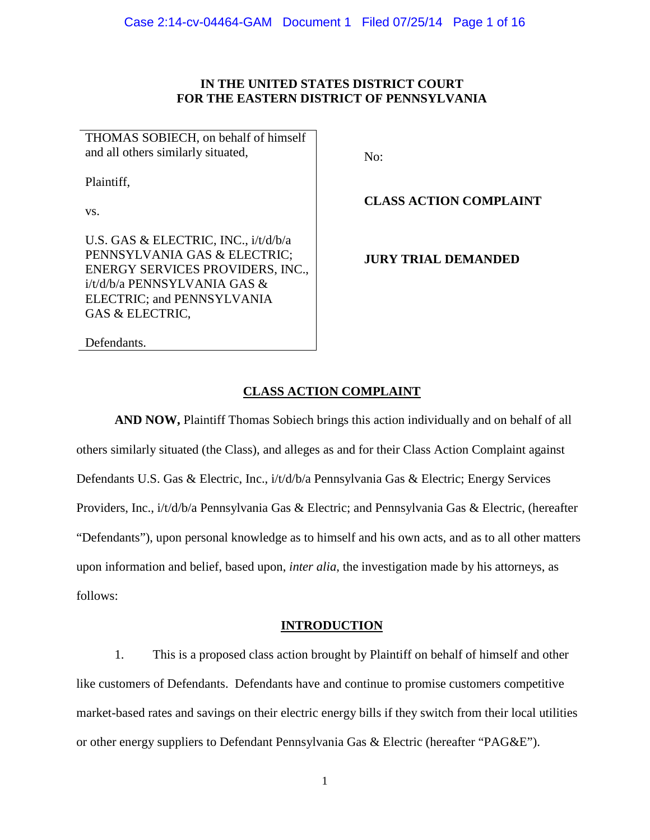# **IN THE UNITED STATES DISTRICT COURT FOR THE EASTERN DISTRICT OF PENNSYLVANIA**

THOMAS SOBIECH, on behalf of himself and all others similarly situated,

Plaintiff,

vs.

U.S. GAS & ELECTRIC, INC., i/t/d/b/a PENNSYLVANIA GAS & ELECTRIC; ENERGY SERVICES PROVIDERS, INC., i/t/d/b/a PENNSYLVANIA GAS & ELECTRIC; and PENNSYLVANIA GAS & ELECTRIC,

Defendants.

No:

**CLASS ACTION COMPLAINT**

**JURY TRIAL DEMANDED**

# **CLASS ACTION COMPLAINT**

**AND NOW,** Plaintiff Thomas Sobiech brings this action individually and on behalf of all others similarly situated (the Class), and alleges as and for their Class Action Complaint against Defendants U.S. Gas & Electric, Inc., i/t/d/b/a Pennsylvania Gas & Electric; Energy Services Providers, Inc., i/t/d/b/a Pennsylvania Gas & Electric; and Pennsylvania Gas & Electric, (hereafter "Defendants"), upon personal knowledge as to himself and his own acts, and as to all other matters upon information and belief, based upon, *inter alia*, the investigation made by his attorneys, as follows:

# **INTRODUCTION**

1. This is a proposed class action brought by Plaintiff on behalf of himself and other like customers of Defendants. Defendants have and continue to promise customers competitive market-based rates and savings on their electric energy bills if they switch from their local utilities or other energy suppliers to Defendant Pennsylvania Gas & Electric (hereafter "PAG&E").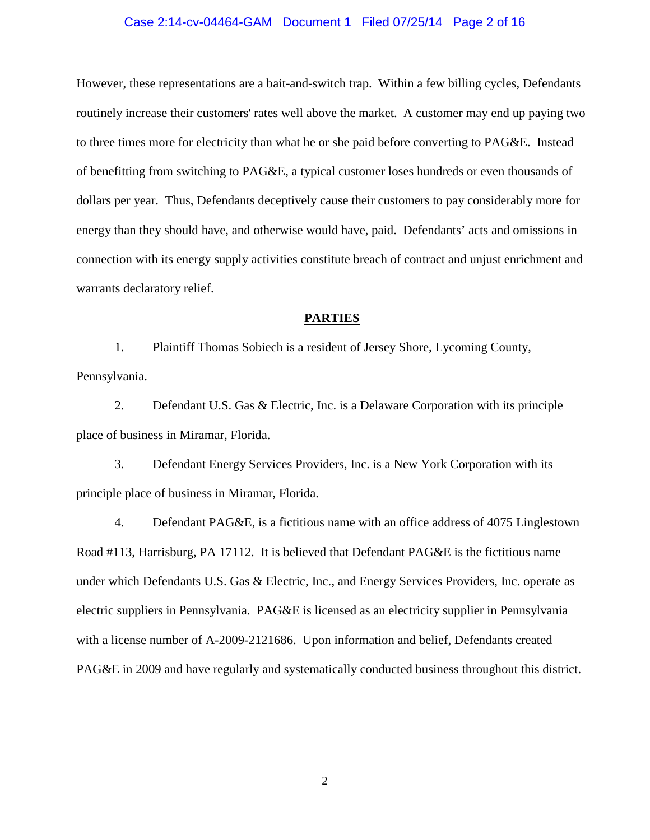### Case 2:14-cv-04464-GAM Document 1 Filed 07/25/14 Page 2 of 16

However, these representations are a bait-and-switch trap. Within a few billing cycles, Defendants routinely increase their customers' rates well above the market. A customer may end up paying two to three times more for electricity than what he or she paid before converting to PAG&E. Instead of benefitting from switching to PAG&E, a typical customer loses hundreds or even thousands of dollars per year. Thus, Defendants deceptively cause their customers to pay considerably more for energy than they should have, and otherwise would have, paid. Defendants' acts and omissions in connection with its energy supply activities constitute breach of contract and unjust enrichment and warrants declaratory relief.

### **PARTIES**

1. Plaintiff Thomas Sobiech is a resident of Jersey Shore, Lycoming County, Pennsylvania.

2. Defendant U.S. Gas & Electric, Inc. is a Delaware Corporation with its principle place of business in Miramar, Florida.

3. Defendant Energy Services Providers, Inc. is a New York Corporation with its principle place of business in Miramar, Florida.

4. Defendant PAG&E, is a fictitious name with an office address of 4075 Linglestown Road #113, Harrisburg, PA 17112. It is believed that Defendant PAG&E is the fictitious name under which Defendants U.S. Gas & Electric, Inc., and Energy Services Providers, Inc. operate as electric suppliers in Pennsylvania. PAG&E is licensed as an electricity supplier in Pennsylvania with a license number of A-2009-2121686. Upon information and belief, Defendants created PAG&E in 2009 and have regularly and systematically conducted business throughout this district.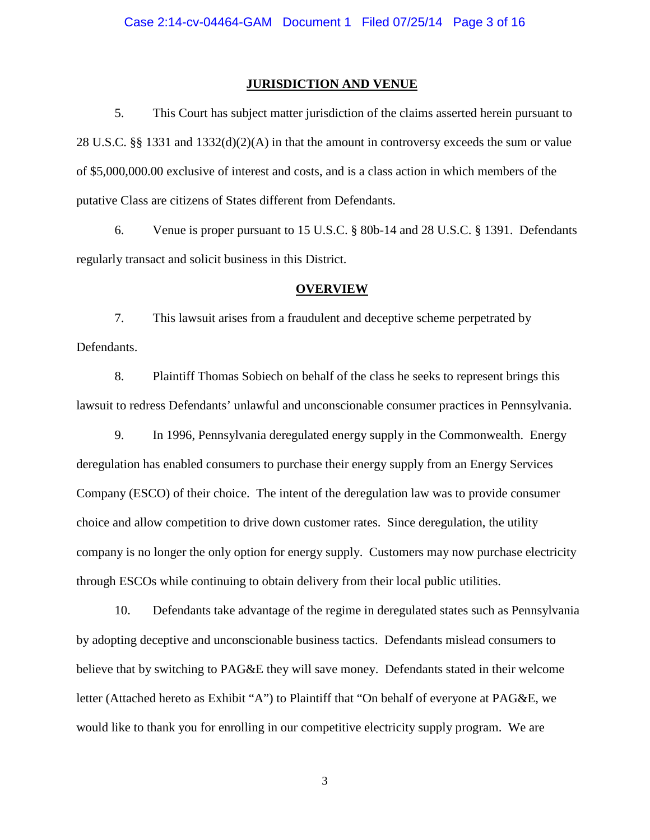### **JURISDICTION AND VENUE**

5. This Court has subject matter jurisdiction of the claims asserted herein pursuant to 28 U.S.C. §§ 1331 and  $1332(d)(2)(A)$  in that the amount in controversy exceeds the sum or value of \$5,000,000.00 exclusive of interest and costs, and is a class action in which members of the putative Class are citizens of States different from Defendants.

6. Venue is proper pursuant to 15 U.S.C. § 80b-14 and 28 U.S.C. § 1391. Defendants regularly transact and solicit business in this District.

### **OVERVIEW**

7. This lawsuit arises from a fraudulent and deceptive scheme perpetrated by Defendants.

8. Plaintiff Thomas Sobiech on behalf of the class he seeks to represent brings this lawsuit to redress Defendants' unlawful and unconscionable consumer practices in Pennsylvania.

9. In 1996, Pennsylvania deregulated energy supply in the Commonwealth. Energy deregulation has enabled consumers to purchase their energy supply from an Energy Services Company (ESCO) of their choice. The intent of the deregulation law was to provide consumer choice and allow competition to drive down customer rates. Since deregulation, the utility company is no longer the only option for energy supply. Customers may now purchase electricity through ESCOs while continuing to obtain delivery from their local public utilities.

10. Defendants take advantage of the regime in deregulated states such as Pennsylvania by adopting deceptive and unconscionable business tactics. Defendants mislead consumers to believe that by switching to PAG&E they will save money. Defendants stated in their welcome letter (Attached hereto as Exhibit "A") to Plaintiff that "On behalf of everyone at PAG&E, we would like to thank you for enrolling in our competitive electricity supply program. We are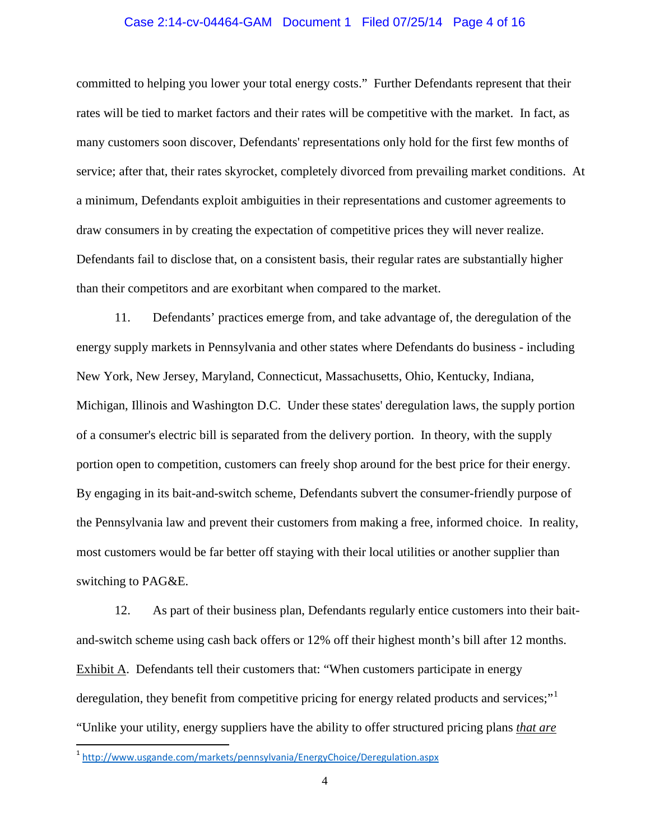### Case 2:14-cv-04464-GAM Document 1 Filed 07/25/14 Page 4 of 16

committed to helping you lower your total energy costs." Further Defendants represent that their rates will be tied to market factors and their rates will be competitive with the market. In fact, as many customers soon discover, Defendants' representations only hold for the first few months of service; after that, their rates skyrocket, completely divorced from prevailing market conditions. At a minimum, Defendants exploit ambiguities in their representations and customer agreements to draw consumers in by creating the expectation of competitive prices they will never realize. Defendants fail to disclose that, on a consistent basis, their regular rates are substantially higher than their competitors and are exorbitant when compared to the market.

11. Defendants' practices emerge from, and take advantage of, the deregulation of the energy supply markets in Pennsylvania and other states where Defendants do business - including New York, New Jersey, Maryland, Connecticut, Massachusetts, Ohio, Kentucky, Indiana, Michigan, Illinois and Washington D.C. Under these states' deregulation laws, the supply portion of a consumer's electric bill is separated from the delivery portion. In theory, with the supply portion open to competition, customers can freely shop around for the best price for their energy. By engaging in its bait-and-switch scheme, Defendants subvert the consumer-friendly purpose of the Pennsylvania law and prevent their customers from making a free, informed choice. In reality, most customers would be far better off staying with their local utilities or another supplier than switching to PAG&E.

12. As part of their business plan, Defendants regularly entice customers into their baitand-switch scheme using cash back offers or 12% off their highest month's bill after 12 months. Exhibit A. Defendants tell their customers that: "When customers participate in energy deregulation, they benefit from competitive pricing for energy related products and services;" "Unlike your utility, energy suppliers have the ability to offer structured pricing plans *that are* 

l

<span id="page-3-0"></span><sup>1</sup> <http://www.usgande.com/markets/pennsylvania/EnergyChoice/Deregulation.aspx>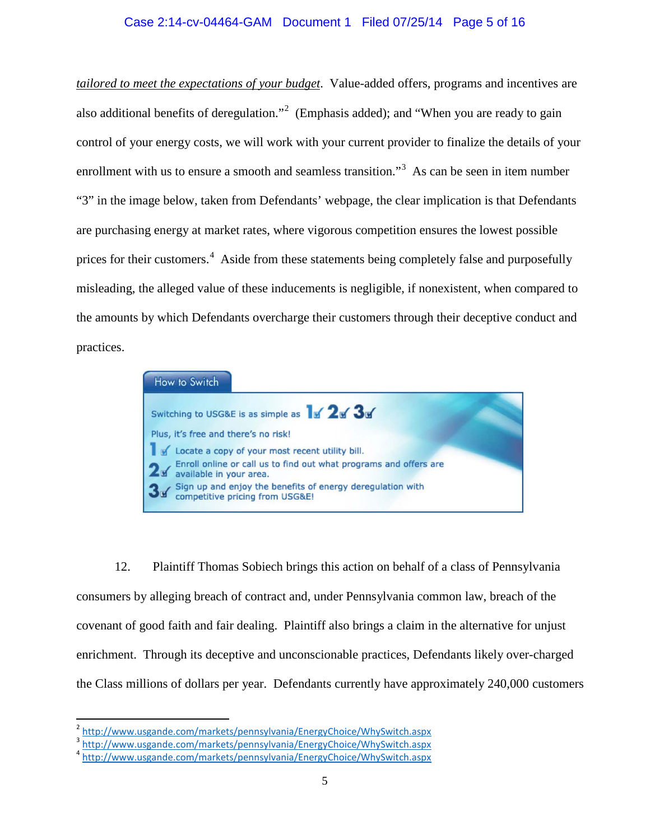# Case 2:14-cv-04464-GAM Document 1 Filed 07/25/14 Page 5 of 16

*tailored to meet the expectations of your budget*. Value-added offers, programs and incentives are also additional benefits of deregulation."<sup>[2](#page-4-0)</sup> (Emphasis added); and "When you are ready to gain control of your energy costs, we will work with your current provider to finalize the details of your enrollment with us to ensure a smooth and seamless transition."<sup>[3](#page-4-1)</sup> As can be seen in item number "3" in the image below, taken from Defendants' webpage, the clear implication is that Defendants are purchasing energy at market rates, where vigorous competition ensures the lowest possible prices for their customers.<sup>[4](#page-4-2)</sup> Aside from these statements being completely false and purposefully misleading, the alleged value of these inducements is negligible, if nonexistent, when compared to the amounts by which Defendants overcharge their customers through their deceptive conduct and practices.



12. Plaintiff Thomas Sobiech brings this action on behalf of a class of Pennsylvania consumers by alleging breach of contract and, under Pennsylvania common law, breach of the covenant of good faith and fair dealing. Plaintiff also brings a claim in the alternative for unjust enrichment. Through its deceptive and unconscionable practices, Defendants likely over-charged the Class millions of dollars per year. Defendants currently have approximately 240,000 customers

l

<span id="page-4-0"></span><sup>&</sup>lt;sup>2</sup> <http://www.usgande.com/markets/pennsylvania/EnergyChoice/WhySwitch.aspx><br><sup>3</sup> http://www.usgande.com/markets/pennsylvania/EnergyChoice/WhySwitch.aspx

<span id="page-4-1"></span>

<span id="page-4-2"></span><sup>4</sup> <http://www.usgande.com/markets/pennsylvania/EnergyChoice/WhySwitch.aspx>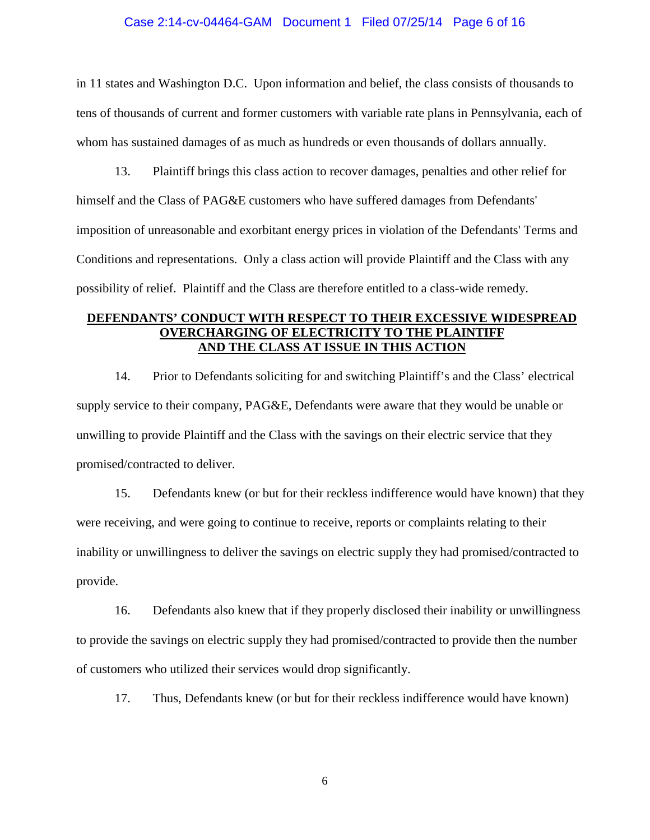### Case 2:14-cv-04464-GAM Document 1 Filed 07/25/14 Page 6 of 16

in 11 states and Washington D.C. Upon information and belief, the class consists of thousands to tens of thousands of current and former customers with variable rate plans in Pennsylvania, each of whom has sustained damages of as much as hundreds or even thousands of dollars annually.

13. Plaintiff brings this class action to recover damages, penalties and other relief for himself and the Class of PAG&E customers who have suffered damages from Defendants' imposition of unreasonable and exorbitant energy prices in violation of the Defendants' Terms and Conditions and representations. Only a class action will provide Plaintiff and the Class with any possibility of relief. Plaintiff and the Class are therefore entitled to a class-wide remedy.

# **DEFENDANTS' CONDUCT WITH RESPECT TO THEIR EXCESSIVE WIDESPREAD OVERCHARGING OF ELECTRICITY TO THE PLAINTIFF AND THE CLASS AT ISSUE IN THIS ACTION**

14. Prior to Defendants soliciting for and switching Plaintiff's and the Class' electrical supply service to their company, PAG&E, Defendants were aware that they would be unable or unwilling to provide Plaintiff and the Class with the savings on their electric service that they promised/contracted to deliver.

15. Defendants knew (or but for their reckless indifference would have known) that they were receiving, and were going to continue to receive, reports or complaints relating to their inability or unwillingness to deliver the savings on electric supply they had promised/contracted to provide.

16. Defendants also knew that if they properly disclosed their inability or unwillingness to provide the savings on electric supply they had promised/contracted to provide then the number of customers who utilized their services would drop significantly.

17. Thus, Defendants knew (or but for their reckless indifference would have known)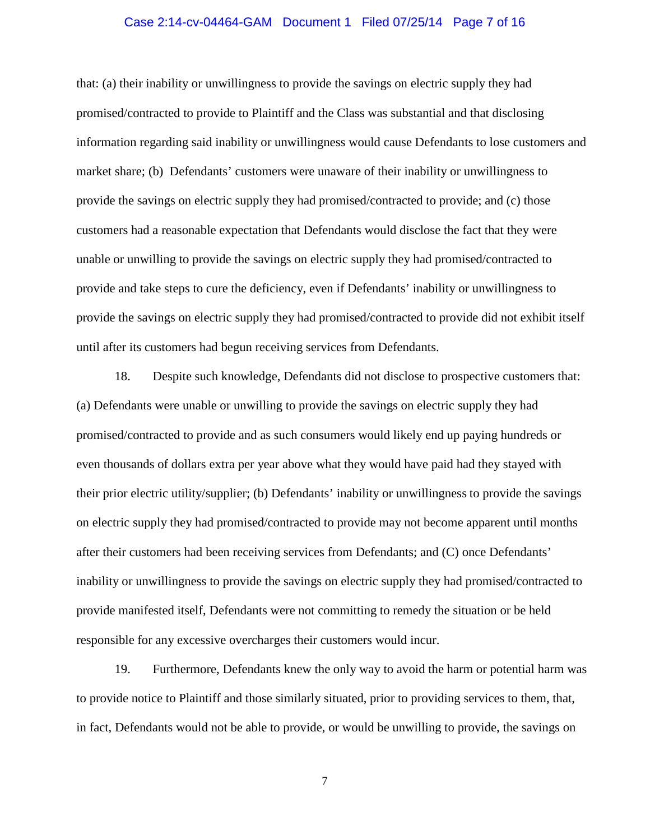### Case 2:14-cv-04464-GAM Document 1 Filed 07/25/14 Page 7 of 16

that: (a) their inability or unwillingness to provide the savings on electric supply they had promised/contracted to provide to Plaintiff and the Class was substantial and that disclosing information regarding said inability or unwillingness would cause Defendants to lose customers and market share; (b) Defendants' customers were unaware of their inability or unwillingness to provide the savings on electric supply they had promised/contracted to provide; and (c) those customers had a reasonable expectation that Defendants would disclose the fact that they were unable or unwilling to provide the savings on electric supply they had promised/contracted to provide and take steps to cure the deficiency, even if Defendants' inability or unwillingness to provide the savings on electric supply they had promised/contracted to provide did not exhibit itself until after its customers had begun receiving services from Defendants.

18. Despite such knowledge, Defendants did not disclose to prospective customers that: (a) Defendants were unable or unwilling to provide the savings on electric supply they had promised/contracted to provide and as such consumers would likely end up paying hundreds or even thousands of dollars extra per year above what they would have paid had they stayed with their prior electric utility/supplier; (b) Defendants' inability or unwillingness to provide the savings on electric supply they had promised/contracted to provide may not become apparent until months after their customers had been receiving services from Defendants; and (C) once Defendants' inability or unwillingness to provide the savings on electric supply they had promised/contracted to provide manifested itself, Defendants were not committing to remedy the situation or be held responsible for any excessive overcharges their customers would incur.

19. Furthermore, Defendants knew the only way to avoid the harm or potential harm was to provide notice to Plaintiff and those similarly situated, prior to providing services to them, that, in fact, Defendants would not be able to provide, or would be unwilling to provide, the savings on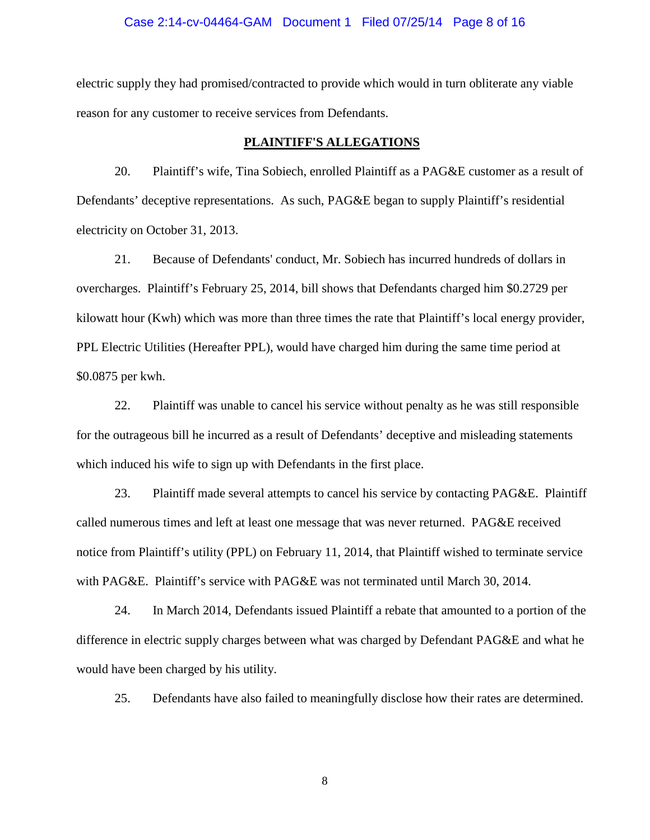### Case 2:14-cv-04464-GAM Document 1 Filed 07/25/14 Page 8 of 16

electric supply they had promised/contracted to provide which would in turn obliterate any viable reason for any customer to receive services from Defendants.

### **PLAINTIFF'S ALLEGATIONS**

20. Plaintiff's wife, Tina Sobiech, enrolled Plaintiff as a PAG&E customer as a result of Defendants' deceptive representations. As such, PAG&E began to supply Plaintiff's residential electricity on October 31, 2013.

21. Because of Defendants' conduct, Mr. Sobiech has incurred hundreds of dollars in overcharges. Plaintiff's February 25, 2014, bill shows that Defendants charged him \$0.2729 per kilowatt hour (Kwh) which was more than three times the rate that Plaintiff's local energy provider, PPL Electric Utilities (Hereafter PPL), would have charged him during the same time period at \$0.0875 per kwh.

22. Plaintiff was unable to cancel his service without penalty as he was still responsible for the outrageous bill he incurred as a result of Defendants' deceptive and misleading statements which induced his wife to sign up with Defendants in the first place.

23. Plaintiff made several attempts to cancel his service by contacting PAG&E. Plaintiff called numerous times and left at least one message that was never returned. PAG&E received notice from Plaintiff's utility (PPL) on February 11, 2014, that Plaintiff wished to terminate service with PAG&E. Plaintiff's service with PAG&E was not terminated until March 30, 2014.

24. In March 2014, Defendants issued Plaintiff a rebate that amounted to a portion of the difference in electric supply charges between what was charged by Defendant PAG&E and what he would have been charged by his utility.

25. Defendants have also failed to meaningfully disclose how their rates are determined.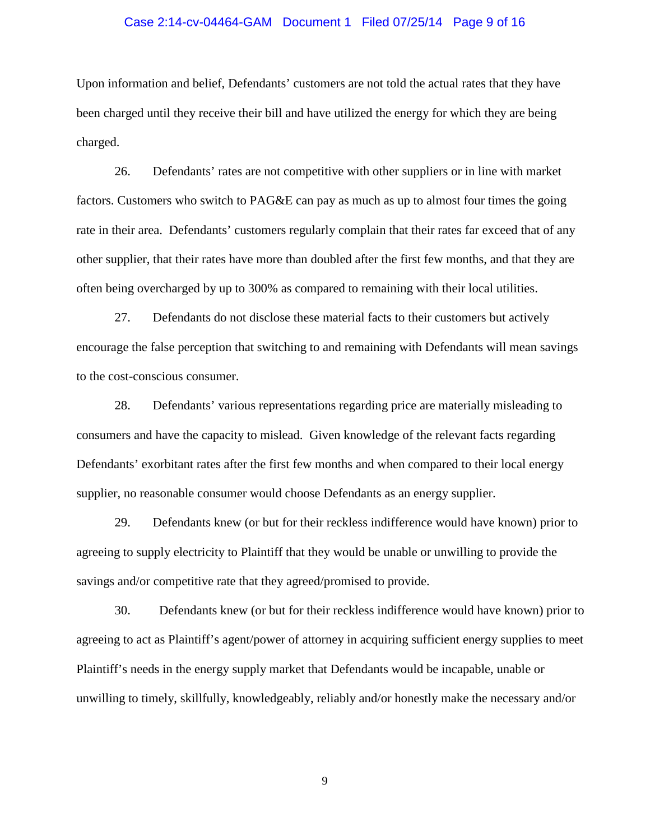### Case 2:14-cv-04464-GAM Document 1 Filed 07/25/14 Page 9 of 16

Upon information and belief, Defendants' customers are not told the actual rates that they have been charged until they receive their bill and have utilized the energy for which they are being charged.

26. Defendants' rates are not competitive with other suppliers or in line with market factors. Customers who switch to PAG&E can pay as much as up to almost four times the going rate in their area. Defendants' customers regularly complain that their rates far exceed that of any other supplier, that their rates have more than doubled after the first few months, and that they are often being overcharged by up to 300% as compared to remaining with their local utilities.

27. Defendants do not disclose these material facts to their customers but actively encourage the false perception that switching to and remaining with Defendants will mean savings to the cost-conscious consumer.

28. Defendants' various representations regarding price are materially misleading to consumers and have the capacity to mislead. Given knowledge of the relevant facts regarding Defendants' exorbitant rates after the first few months and when compared to their local energy supplier, no reasonable consumer would choose Defendants as an energy supplier.

29. Defendants knew (or but for their reckless indifference would have known) prior to agreeing to supply electricity to Plaintiff that they would be unable or unwilling to provide the savings and/or competitive rate that they agreed/promised to provide.

30. Defendants knew (or but for their reckless indifference would have known) prior to agreeing to act as Plaintiff's agent/power of attorney in acquiring sufficient energy supplies to meet Plaintiff's needs in the energy supply market that Defendants would be incapable, unable or unwilling to timely, skillfully, knowledgeably, reliably and/or honestly make the necessary and/or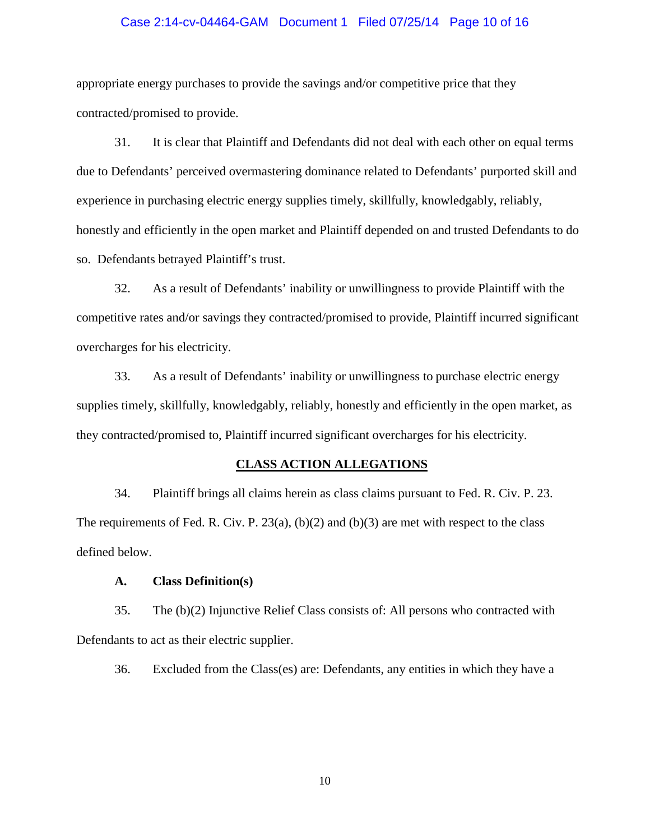### Case 2:14-cv-04464-GAM Document 1 Filed 07/25/14 Page 10 of 16

appropriate energy purchases to provide the savings and/or competitive price that they contracted/promised to provide.

31. It is clear that Plaintiff and Defendants did not deal with each other on equal terms due to Defendants' perceived overmastering dominance related to Defendants' purported skill and experience in purchasing electric energy supplies timely, skillfully, knowledgably, reliably, honestly and efficiently in the open market and Plaintiff depended on and trusted Defendants to do so. Defendants betrayed Plaintiff's trust.

32. As a result of Defendants' inability or unwillingness to provide Plaintiff with the competitive rates and/or savings they contracted/promised to provide, Plaintiff incurred significant overcharges for his electricity.

33. As a result of Defendants' inability or unwillingness to purchase electric energy supplies timely, skillfully, knowledgably, reliably, honestly and efficiently in the open market, as they contracted/promised to, Plaintiff incurred significant overcharges for his electricity.

### **CLASS ACTION ALLEGATIONS**

34. Plaintiff brings all claims herein as class claims pursuant to Fed. R. Civ. P. 23. The requirements of Fed. R. Civ. P.  $23(a)$ , (b)(2) and (b)(3) are met with respect to the class defined below.

### **A. Class Definition(s)**

35. The (b)(2) Injunctive Relief Class consists of: All persons who contracted with Defendants to act as their electric supplier.

36. Excluded from the Class(es) are: Defendants, any entities in which they have a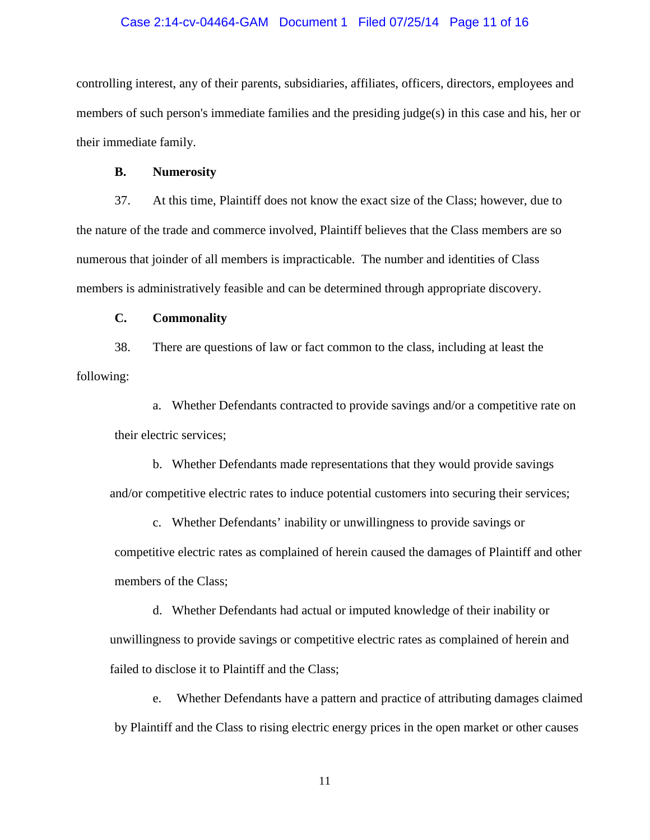### Case 2:14-cv-04464-GAM Document 1 Filed 07/25/14 Page 11 of 16

controlling interest, any of their parents, subsidiaries, affiliates, officers, directors, employees and members of such person's immediate families and the presiding judge(s) in this case and his, her or their immediate family.

### **B. Numerosity**

37. At this time, Plaintiff does not know the exact size of the Class; however, due to the nature of the trade and commerce involved, Plaintiff believes that the Class members are so numerous that joinder of all members is impracticable. The number and identities of Class members is administratively feasible and can be determined through appropriate discovery.

# **C. Commonality**

38. There are questions of law or fact common to the class, including at least the following:

a. Whether Defendants contracted to provide savings and/or a competitive rate on their electric services;

b. Whether Defendants made representations that they would provide savings and/or competitive electric rates to induce potential customers into securing their services;

c. Whether Defendants' inability or unwillingness to provide savings or competitive electric rates as complained of herein caused the damages of Plaintiff and other members of the Class;

d. Whether Defendants had actual or imputed knowledge of their inability or unwillingness to provide savings or competitive electric rates as complained of herein and failed to disclose it to Plaintiff and the Class;

e. Whether Defendants have a pattern and practice of attributing damages claimed by Plaintiff and the Class to rising electric energy prices in the open market or other causes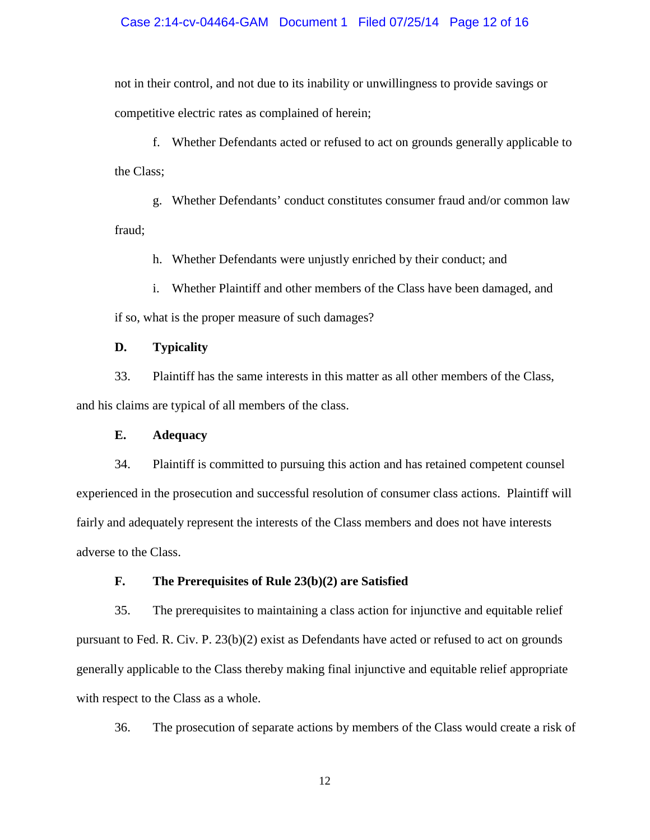### Case 2:14-cv-04464-GAM Document 1 Filed 07/25/14 Page 12 of 16

not in their control, and not due to its inability or unwillingness to provide savings or competitive electric rates as complained of herein;

f. Whether Defendants acted or refused to act on grounds generally applicable to the Class;

g. Whether Defendants' conduct constitutes consumer fraud and/or common law fraud;

h. Whether Defendants were unjustly enriched by their conduct; and

i. Whether Plaintiff and other members of the Class have been damaged, and

if so, what is the proper measure of such damages?

# **D. Typicality**

33. Plaintiff has the same interests in this matter as all other members of the Class, and his claims are typical of all members of the class.

# **E. Adequacy**

34. Plaintiff is committed to pursuing this action and has retained competent counsel experienced in the prosecution and successful resolution of consumer class actions. Plaintiff will fairly and adequately represent the interests of the Class members and does not have interests adverse to the Class.

### **F. The Prerequisites of Rule 23(b)(2) are Satisfied**

35. The prerequisites to maintaining a class action for injunctive and equitable relief pursuant to Fed. R. Civ. P. 23(b)(2) exist as Defendants have acted or refused to act on grounds generally applicable to the Class thereby making final injunctive and equitable relief appropriate with respect to the Class as a whole.

36. The prosecution of separate actions by members of the Class would create a risk of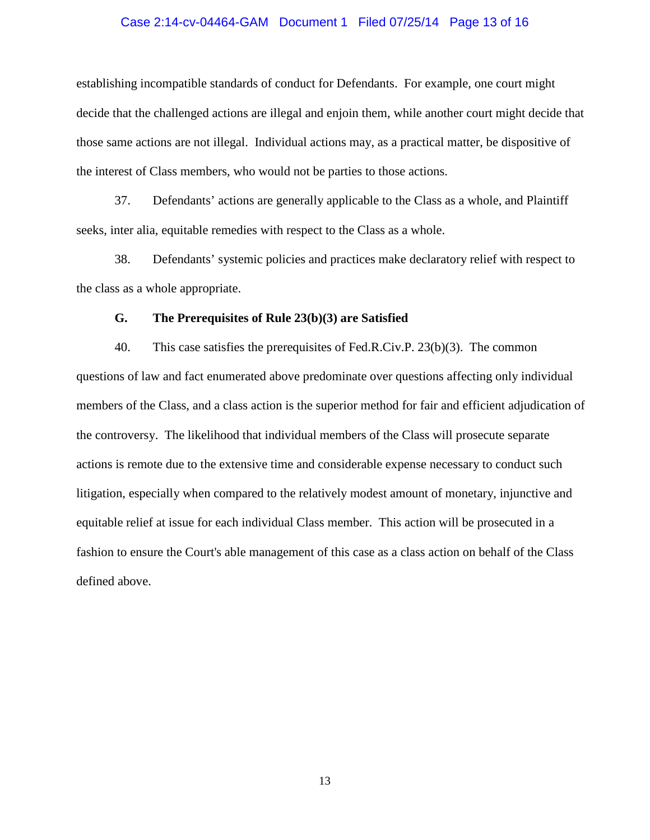### Case 2:14-cv-04464-GAM Document 1 Filed 07/25/14 Page 13 of 16

establishing incompatible standards of conduct for Defendants. For example, one court might decide that the challenged actions are illegal and enjoin them, while another court might decide that those same actions are not illegal. Individual actions may, as a practical matter, be dispositive of the interest of Class members, who would not be parties to those actions.

37. Defendants' actions are generally applicable to the Class as a whole, and Plaintiff seeks, inter alia, equitable remedies with respect to the Class as a whole.

38. Defendants' systemic policies and practices make declaratory relief with respect to the class as a whole appropriate.

#### **G. The Prerequisites of Rule 23(b)(3) are Satisfied**

40. This case satisfies the prerequisites of Fed.R.Civ.P. 23(b)(3). The common questions of law and fact enumerated above predominate over questions affecting only individual members of the Class, and a class action is the superior method for fair and efficient adjudication of the controversy. The likelihood that individual members of the Class will prosecute separate actions is remote due to the extensive time and considerable expense necessary to conduct such litigation, especially when compared to the relatively modest amount of monetary, injunctive and equitable relief at issue for each individual Class member. This action will be prosecuted in a fashion to ensure the Court's able management of this case as a class action on behalf of the Class defined above.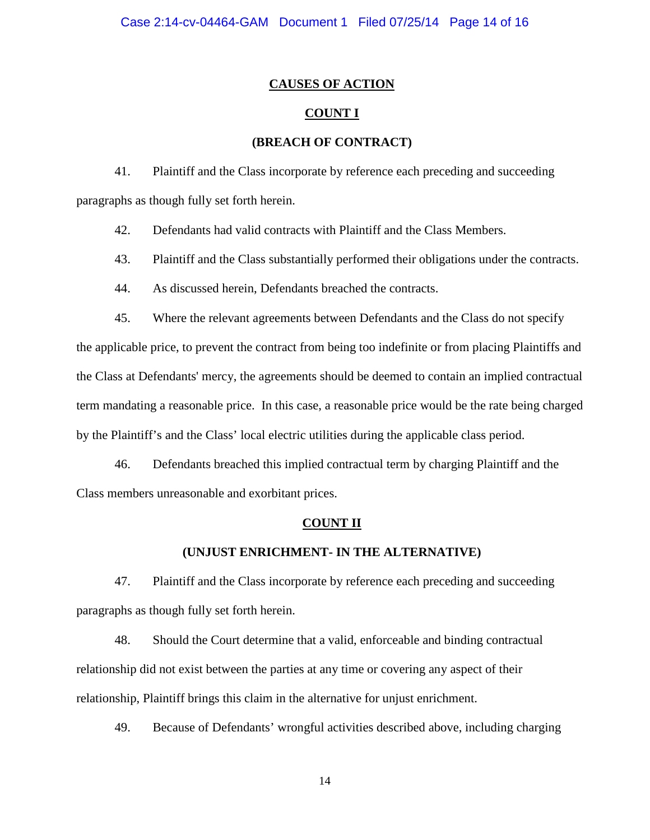### **CAUSES OF ACTION**

# **COUNT I**

### **(BREACH OF CONTRACT)**

41. Plaintiff and the Class incorporate by reference each preceding and succeeding paragraphs as though fully set forth herein.

42. Defendants had valid contracts with Plaintiff and the Class Members.

43. Plaintiff and the Class substantially performed their obligations under the contracts.

44. As discussed herein, Defendants breached the contracts.

45. Where the relevant agreements between Defendants and the Class do not specify

the applicable price, to prevent the contract from being too indefinite or from placing Plaintiffs and the Class at Defendants' mercy, the agreements should be deemed to contain an implied contractual term mandating a reasonable price. In this case, a reasonable price would be the rate being charged by the Plaintiff's and the Class' local electric utilities during the applicable class period.

46. Defendants breached this implied contractual term by charging Plaintiff and the Class members unreasonable and exorbitant prices.

#### **COUNT II**

### **(UNJUST ENRICHMENT- IN THE ALTERNATIVE)**

47. Plaintiff and the Class incorporate by reference each preceding and succeeding paragraphs as though fully set forth herein.

48. Should the Court determine that a valid, enforceable and binding contractual relationship did not exist between the parties at any time or covering any aspect of their relationship, Plaintiff brings this claim in the alternative for unjust enrichment.

49. Because of Defendants' wrongful activities described above, including charging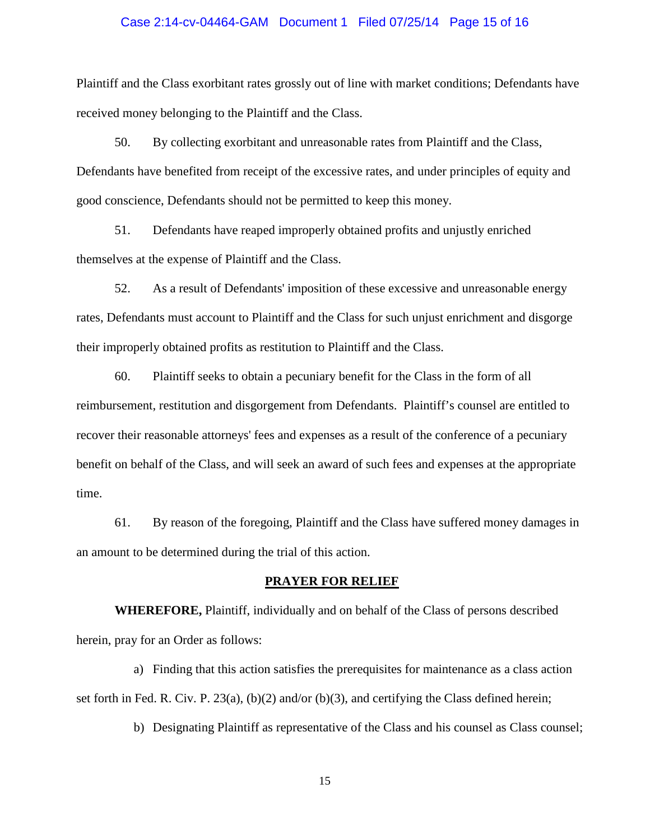#### Case 2:14-cv-04464-GAM Document 1 Filed 07/25/14 Page 15 of 16

Plaintiff and the Class exorbitant rates grossly out of line with market conditions; Defendants have received money belonging to the Plaintiff and the Class.

50. By collecting exorbitant and unreasonable rates from Plaintiff and the Class, Defendants have benefited from receipt of the excessive rates, and under principles of equity and good conscience, Defendants should not be permitted to keep this money.

51. Defendants have reaped improperly obtained profits and unjustly enriched themselves at the expense of Plaintiff and the Class.

52. As a result of Defendants' imposition of these excessive and unreasonable energy rates, Defendants must account to Plaintiff and the Class for such unjust enrichment and disgorge their improperly obtained profits as restitution to Plaintiff and the Class.

60. Plaintiff seeks to obtain a pecuniary benefit for the Class in the form of all reimbursement, restitution and disgorgement from Defendants. Plaintiff's counsel are entitled to recover their reasonable attorneys' fees and expenses as a result of the conference of a pecuniary benefit on behalf of the Class, and will seek an award of such fees and expenses at the appropriate time.

61. By reason of the foregoing, Plaintiff and the Class have suffered money damages in an amount to be determined during the trial of this action.

# **PRAYER FOR RELIEF**

**WHEREFORE,** Plaintiff, individually and on behalf of the Class of persons described herein, pray for an Order as follows:

a) Finding that this action satisfies the prerequisites for maintenance as a class action set forth in Fed. R. Civ. P. 23(a), (b)(2) and/or (b)(3), and certifying the Class defined herein;

b) Designating Plaintiff as representative of the Class and his counsel as Class counsel;